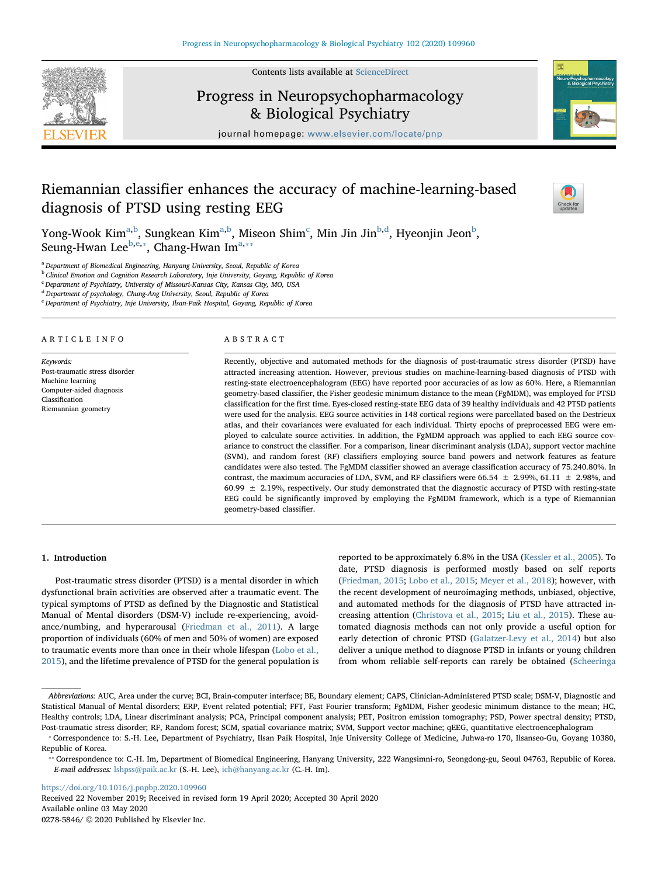Contents lists available at [ScienceDirect](http://www.sciencedirect.com/science/journal/02785846)

# Progress in Neuropsychopharmacology & Biological Psychiatry

journal homepage: [www.elsevier.com/locate/pnp](https://www.elsevier.com/locate/pnp)

# Riemannian classifier enhances the accuracy of machine-learning-based diagnosis of PTSD using resting EEG

Yong-Wook Kim $^{\mathrm{a,b}}$  $^{\mathrm{a,b}}$  $^{\mathrm{a,b}}$  $^{\mathrm{a,b}}$  $^{\mathrm{a,b}}$ , Sungkean Kim $^{\mathrm{a,b}}$  $^{\mathrm{a,b}}$  $^{\mathrm{a,b}}$ , Miseon Shim $^{\mathrm{c}}$  $^{\mathrm{c}}$  $^{\mathrm{c}}$ , Min Jin Jin $^{\mathrm{b,d}}$  $^{\mathrm{b,d}}$  $^{\mathrm{b,d}}$ , Hyeonjin Jeon $^{\mathrm{b}}$ , Seung-Hwan Lee<sup>[b,](#page-0-1)[e,](#page-0-4)\*</sup>, Chang-Hwan Im<sup>[a,](#page-0-0)\*\*</sup>

<span id="page-0-0"></span><sup>a</sup> Department of Biomedical Engineering, Hanyang University, Seoul, Republic of Korea

<span id="page-0-1"></span>**b Clinical Emotion and Cognition Research Laboratory, Inje University, Goyang, Republic of Korea** 

<span id="page-0-2"></span><sup>c</sup> Department of Psychiatry, University of Missouri-Kansas City, Kansas City, MO, USA

<span id="page-0-3"></span><sup>d</sup> Department of psychology, Chung-Ang University, Seoul, Republic of Korea

<span id="page-0-4"></span><sup>e</sup> Department of Psychiatry, Inje University, Ilsan-Paik Hospital, Goyang, Republic of Korea

# ARTICLE INFO

Keywords: Post-traumatic stress disorder Machine learning Computer-aided diagnosis Classification Riemannian geometry

# ABSTRACT

Recently, objective and automated methods for the diagnosis of post-traumatic stress disorder (PTSD) have attracted increasing attention. However, previous studies on machine-learning-based diagnosis of PTSD with resting-state electroencephalogram (EEG) have reported poor accuracies of as low as 60%. Here, a Riemannian geometry-based classifier, the Fisher geodesic minimum distance to the mean (FgMDM), was employed for PTSD classification for the first time. Eyes-closed resting-state EEG data of 39 healthy individuals and 42 PTSD patients were used for the analysis. EEG source activities in 148 cortical regions were parcellated based on the Destrieux atlas, and their covariances were evaluated for each individual. Thirty epochs of preprocessed EEG were employed to calculate source activities. In addition, the FgMDM approach was applied to each EEG source covariance to construct the classifier. For a comparison, linear discriminant analysis (LDA), support vector machine (SVM), and random forest (RF) classifiers employing source band powers and network features as feature candidates were also tested. The FgMDM classifier showed an average classification accuracy of 75.240.80%. In contrast, the maximum accuracies of LDA, SVM, and RF classifiers were 66.54  $\pm$  2.99%, 61.11  $\pm$  2.98%, and 60.99  $\pm$  2.19%, respectively. Our study demonstrated that the diagnostic accuracy of PTSD with resting-state EEG could be significantly improved by employing the FgMDM framework, which is a type of Riemannian geometry-based classifier.

# 1. Introduction

Post-traumatic stress disorder (PTSD) is a mental disorder in which dysfunctional brain activities are observed after a traumatic event. The typical symptoms of PTSD as defined by the Diagnostic and Statistical Manual of Mental disorders (DSM-V) include re-experiencing, avoidance/numbing, and hyperarousal ([Friedman et al., 2011\)](#page-6-0). A large proportion of individuals (60% of men and 50% of women) are exposed to traumatic events more than once in their whole lifespan [\(Lobo et al.,](#page-6-1) [2015\)](#page-6-1), and the lifetime prevalence of PTSD for the general population is reported to be approximately 6.8% in the USA ([Kessler et al., 2005](#page-6-2)). To date, PTSD diagnosis is performed mostly based on self reports ([Friedman, 2015;](#page-6-3) [Lobo et al., 2015](#page-6-1); [Meyer et al., 2018](#page-6-4)); however, with the recent development of neuroimaging methods, unbiased, objective, and automated methods for the diagnosis of PTSD have attracted increasing attention [\(Christova et al., 2015](#page-5-0); [Liu et al., 2015](#page-6-5)). These automated diagnosis methods can not only provide a useful option for early detection of chronic PTSD ([Galatzer-Levy et al., 2014\)](#page-6-6) but also deliver a unique method to diagnose PTSD in infants or young children from whom reliable self-reports can rarely be obtained [\(Scheeringa](#page-6-7)

<https://doi.org/10.1016/j.pnpbp.2020.109960>

Received 22 November 2019; Received in revised form 19 April 2020; Accepted 30 April 2020 Available online 03 May 2020





 $\frac{N}{2}$ 

Abbreviations: AUC, Area under the curve; BCI, Brain-computer interface; BE, Boundary element; CAPS, Clinician-Administered PTSD scale; DSM-V, Diagnostic and Statistical Manual of Mental disorders; ERP, Event related potential; FFT, Fast Fourier transform; FgMDM, Fisher geodesic minimum distance to the mean; HC, Healthy controls; LDA, Linear discriminant analysis; PCA, Principal component analysis; PET, Positron emission tomography; PSD, Power spectral density; PTSD, Post-traumatic stress disorder; RF, Random forest; SCM, spatial covariance matrix; SVM, Support vector machine; qEEG, quantitative electroencephalogram

<span id="page-0-5"></span><sup>⁎</sup> Correspondence to: S.-H. Lee, Department of Psychiatry, Ilsan Paik Hospital, Inje University College of Medicine, Juhwa-ro 170, Ilsanseo-Gu, Goyang 10380, Republic of Korea.

<span id="page-0-6"></span><sup>⁎⁎</sup> Correspondence to: C.-H. Im, Department of Biomedical Engineering, Hanyang University, 222 Wangsimni-ro, Seongdong-gu, Seoul 04763, Republic of Korea. E-mail addresses: [lshpss@paik.ac.kr](mailto:lshpss@paik.ac.kr) (S.-H. Lee), [ich@hanyang.ac.kr](mailto:ich@hanyang.ac.kr) (C.-H. Im).

<sup>0278-5846/ © 2020</sup> Published by Elsevier Inc.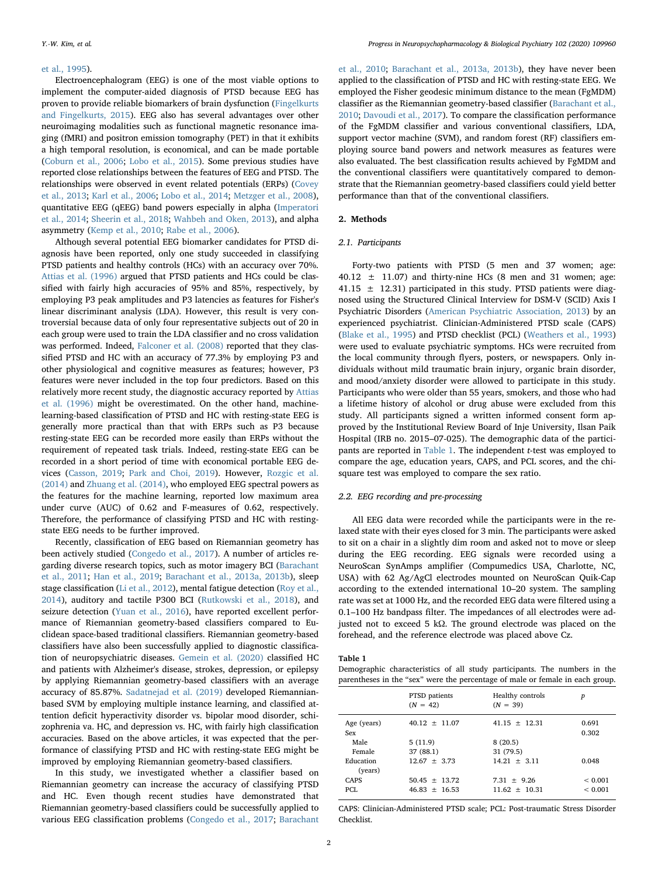## [et al., 1995](#page-6-7)).

Electroencephalogram (EEG) is one of the most viable options to implement the computer-aided diagnosis of PTSD because EEG has proven to provide reliable biomarkers of brain dysfunction [\(Fingelkurts](#page-6-8) [and Fingelkurts, 2015\)](#page-6-8). EEG also has several advantages over other neuroimaging modalities such as functional magnetic resonance imaging (fMRI) and positron emission tomography (PET) in that it exhibits a high temporal resolution, is economical, and can be made portable ([Coburn et al., 2006;](#page-5-1) [Lobo et al., 2015\)](#page-6-1). Some previous studies have reported close relationships between the features of EEG and PTSD. The relationships were observed in event related potentials (ERPs) ([Covey](#page-6-9) [et al., 2013](#page-6-9); [Karl et al., 2006](#page-6-10); [Lobo et al., 2014;](#page-6-11) [Metzger et al., 2008](#page-6-12)), quantitative EEG (qEEG) band powers especially in alpha [\(Imperatori](#page-6-13) [et al., 2014](#page-6-13); [Sheerin et al., 2018;](#page-6-14) [Wahbeh and Oken, 2013\)](#page-6-15), and alpha asymmetry [\(Kemp et al., 2010;](#page-6-16) [Rabe et al., 2006\)](#page-6-17).

Although several potential EEG biomarker candidates for PTSD diagnosis have been reported, only one study succeeded in classifying PTSD patients and healthy controls (HCs) with an accuracy over 70%. [Attias et al. \(1996\)](#page-5-2) argued that PTSD patients and HCs could be classified with fairly high accuracies of 95% and 85%, respectively, by employing P3 peak amplitudes and P3 latencies as features for Fisher's linear discriminant analysis (LDA). However, this result is very controversial because data of only four representative subjects out of 20 in each group were used to train the LDA classifier and no cross validation was performed. Indeed, [Falconer et al. \(2008\)](#page-6-18) reported that they classified PTSD and HC with an accuracy of 77.3% by employing P3 and other physiological and cognitive measures as features; however, P3 features were never included in the top four predictors. Based on this relatively more recent study, the diagnostic accuracy reported by [Attias](#page-5-2) [et al. \(1996\)](#page-5-2) might be overestimated. On the other hand, machinelearning-based classification of PTSD and HC with resting-state EEG is generally more practical than that with ERPs such as P3 because resting-state EEG can be recorded more easily than ERPs without the requirement of repeated task trials. Indeed, resting-state EEG can be recorded in a short period of time with economical portable EEG devices [\(Casson, 2019;](#page-5-3) [Park and Choi, 2019\)](#page-6-19). However, [Rozgic et al.](#page-6-20) [\(2014\)](#page-6-20) and [Zhuang et al. \(2014\)](#page-7-0), who employed EEG spectral powers as the features for the machine learning, reported low maximum area under curve (AUC) of 0.62 and F-measures of 0.62, respectively. Therefore, the performance of classifying PTSD and HC with restingstate EEG needs to be further improved.

Recently, classification of EEG based on Riemannian geometry has been actively studied [\(Congedo et al., 2017](#page-6-21)). A number of articles regarding diverse research topics, such as motor imagery BCI [\(Barachant](#page-5-4) [et al., 2011](#page-5-4); [Han et al., 2019](#page-6-22); [Barachant et al., 2013a, 2013b](#page-5-5)), sleep stage classification [\(Li et al., 2012](#page-6-23)), mental fatigue detection ([Roy et al.,](#page-6-24) [2014\)](#page-6-24), auditory and tactile P300 BCI [\(Rutkowski et al., 2018\)](#page-6-25), and seizure detection ([Yuan et al., 2016\)](#page-7-1), have reported excellent performance of Riemannian geometry-based classifiers compared to Euclidean space-based traditional classifiers. Riemannian geometry-based classifiers have also been successfully applied to diagnostic classification of neuropsychiatric diseases. [Gemein et al. \(2020\)](#page-6-26) classified HC and patients with Alzheimer's disease, strokes, depression, or epilepsy by applying Riemannian geometry-based classifiers with an average accuracy of 85.87%. [Sadatnejad et al. \(2019\)](#page-6-27) developed Riemannianbased SVM by employing multiple instance learning, and classified attention deficit hyperactivity disorder vs. bipolar mood disorder, schizophrenia va. HC, and depression vs. HC, with fairly high classification accuracies. Based on the above articles, it was expected that the performance of classifying PTSD and HC with resting-state EEG might be improved by employing Riemannian geometry-based classifiers.

In this study, we investigated whether a classifier based on Riemannian geometry can increase the accuracy of classifying PTSD and HC. Even though recent studies have demonstrated that Riemannian geometry-based classifiers could be successfully applied to various EEG classification problems [\(Congedo et al., 2017;](#page-6-21) [Barachant](#page-5-6)

[et al., 2010](#page-5-6); [Barachant et al., 2013a, 2013b](#page-5-5)), they have never been applied to the classification of PTSD and HC with resting-state EEG. We employed the Fisher geodesic minimum distance to the mean (FgMDM) classifier as the Riemannian geometry-based classifier [\(Barachant et al.,](#page-5-6) [2010;](#page-5-6) [Davoudi et al., 2017\)](#page-6-28). To compare the classification performance of the FgMDM classifier and various conventional classifiers, LDA, support vector machine (SVM), and random forest (RF) classifiers employing source band powers and network measures as features were also evaluated. The best classification results achieved by FgMDM and the conventional classifiers were quantitatively compared to demonstrate that the Riemannian geometry-based classifiers could yield better performance than that of the conventional classifiers.

# 2. Methods

# 2.1. Participants

Forty-two patients with PTSD (5 men and 37 women; age:  $40.12 \pm 11.07$  and thirty-nine HCs (8 men and 31 women; age: 41.15  $\pm$  12.31) participated in this study. PTSD patients were diagnosed using the Structured Clinical Interview for DSM-V (SCID) Axis I Psychiatric Disorders [\(American Psychiatric Association, 2013\)](#page-5-7) by an experienced psychiatrist. Clinician-Administered PTSD scale (CAPS) ([Blake et al., 1995](#page-5-8)) and PTSD checklist (PCL) [\(Weathers et al., 1993\)](#page-7-2) were used to evaluate psychiatric symptoms. HCs were recruited from the local community through flyers, posters, or newspapers. Only individuals without mild traumatic brain injury, organic brain disorder, and mood/anxiety disorder were allowed to participate in this study. Participants who were older than 55 years, smokers, and those who had a lifetime history of alcohol or drug abuse were excluded from this study. All participants signed a written informed consent form approved by the Institutional Review Board of Inje University, Ilsan Paik Hospital (IRB no. 2015–07-025). The demographic data of the participants are reported in [Table 1](#page-1-0). The independent t-test was employed to compare the age, education years, CAPS, and PCL scores, and the chisquare test was employed to compare the sex ratio.

# 2.2. EEG recording and pre-processing

All EEG data were recorded while the participants were in the relaxed state with their eyes closed for 3 min. The participants were asked to sit on a chair in a slightly dim room and asked not to move or sleep during the EEG recording. EEG signals were recorded using a NeuroScan SynAmps amplifier (Compumedics USA, Charlotte, NC, USA) with 62 Ag/AgCl electrodes mounted on NeuroScan Quik-Cap according to the extended international 10–20 system. The sampling rate was set at 1000 Hz, and the recorded EEG data were filtered using a 0.1–100 Hz bandpass filter. The impedances of all electrodes were adjusted not to exceed 5 kΩ. The ground electrode was placed on the forehead, and the reference electrode was placed above Cz.

<span id="page-1-0"></span>Table 1

Demographic characteristics of all study participants. The numbers in the parentheses in the "sex" were the percentage of male or female in each group.

|                      | PTSD patients<br>$(N = 42)$ | Healthy controls<br>$(N = 39)$ | p            |
|----------------------|-----------------------------|--------------------------------|--------------|
| Age (years)          | $40.12 + 11.07$             | $41.15 + 12.31$                | 0.691        |
| Sex                  |                             |                                | 0.302        |
| Male                 | 5(11.9)                     | 8(20.5)                        |              |
| Female               | 37 (88.1)                   | 31 (79.5)                      |              |
| Education<br>(years) | $12.67 + 3.73$              | $14.21 + 3.11$                 | 0.048        |
| <b>CAPS</b>          | $50.45 + 13.72$             | $7.31 + 9.26$                  | ${}_{0.001}$ |
| PCI.                 | $46.83 + 16.53$             | $11.62 + 10.31$                | ${}_{0.001}$ |

CAPS: Clinician-Administered PTSD scale; PCL: Post-traumatic Stress Disorder Checklist.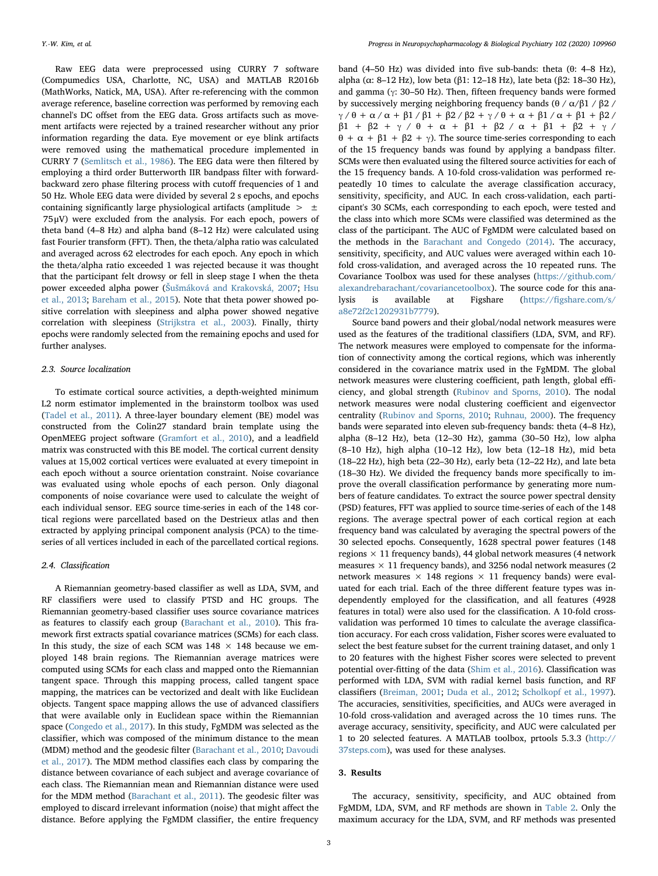Raw EEG data were preprocessed using CURRY 7 software (Compumedics USA, Charlotte, NC, USA) and MATLAB R2016b (MathWorks, Natick, MA, USA). After re-referencing with the common average reference, baseline correction was performed by removing each channel's DC offset from the EEG data. Gross artifacts such as movement artifacts were rejected by a trained researcher without any prior information regarding the data. Eye movement or eye blink artifacts were removed using the mathematical procedure implemented in CURRY 7 ([Semlitsch et al., 1986\)](#page-6-29). The EEG data were then filtered by employing a third order Butterworth IIR bandpass filter with forwardbackward zero phase filtering process with cutoff frequencies of 1 and 50 Hz. Whole EEG data were divided by several 2 s epochs, and epochs containing significantly large physiological artifacts (amplitude  $> \pm$ 75μV) were excluded from the analysis. For each epoch, powers of theta band (4–8 Hz) and alpha band (8–12 Hz) were calculated using fast Fourier transform (FFT). Then, the theta/alpha ratio was calculated and averaged across 62 electrodes for each epoch. Any epoch in which the theta/alpha ratio exceeded 1 was rejected because it was thought that the participant felt drowsy or fell in sleep stage I when the theta power exceeded alpha power (Šuš[máková and Krakovská, 2007](#page-6-30); [Hsu](#page-6-31) [et al., 2013](#page-6-31); [Bareham et al., 2015](#page-5-9)). Note that theta power showed positive correlation with sleepiness and alpha power showed negative correlation with sleepiness ([Strijkstra et al., 2003](#page-6-32)). Finally, thirty epochs were randomly selected from the remaining epochs and used for further analyses.

# 2.3. Source localization

To estimate cortical source activities, a depth-weighted minimum L2 norm estimator implemented in the brainstorm toolbox was used ([Tadel et al., 2011](#page-6-33)). A three-layer boundary element (BE) model was constructed from the Colin27 standard brain template using the OpenMEEG project software ([Gramfort et al., 2010\)](#page-6-34), and a leadfield matrix was constructed with this BE model. The cortical current density values at 15,002 cortical vertices were evaluated at every timepoint in each epoch without a source orientation constraint. Noise covariance was evaluated using whole epochs of each person. Only diagonal components of noise covariance were used to calculate the weight of each individual sensor. EEG source time-series in each of the 148 cortical regions were parcellated based on the Destrieux atlas and then extracted by applying principal component analysis (PCA) to the timeseries of all vertices included in each of the parcellated cortical regions.

### 2.4. Classification

A Riemannian geometry-based classifier as well as LDA, SVM, and RF classifiers were used to classify PTSD and HC groups. The Riemannian geometry-based classifier uses source covariance matrices as features to classify each group [\(Barachant et al., 2010\)](#page-5-6). This framework first extracts spatial covariance matrices (SCMs) for each class. In this study, the size of each SCM was  $148 \times 148$  because we employed 148 brain regions. The Riemannian average matrices were computed using SCMs for each class and mapped onto the Riemannian tangent space. Through this mapping process, called tangent space mapping, the matrices can be vectorized and dealt with like Euclidean objects. Tangent space mapping allows the use of advanced classifiers that were available only in Euclidean space within the Riemannian space [\(Congedo et al., 2017](#page-6-21)). In this study, FgMDM was selected as the classifier, which was composed of the minimum distance to the mean (MDM) method and the geodesic filter [\(Barachant et al., 2010;](#page-5-6) [Davoudi](#page-6-28) [et al., 2017](#page-6-28)). The MDM method classifies each class by comparing the distance between covariance of each subject and average covariance of each class. The Riemannian mean and Riemannian distance were used for the MDM method [\(Barachant et al., 2011](#page-5-4)). The geodesic filter was employed to discard irrelevant information (noise) that might affect the distance. Before applying the FgMDM classifier, the entire frequency band (4–50 Hz) was divided into five sub-bands: theta (θ: 4–8 Hz), alpha (α: 8–12 Hz), low beta (β1: 12–18 Hz), late beta (β2: 18–30 Hz), and gamma (γ: 30–50 Hz). Then, fifteen frequency bands were formed by successively merging neighboring frequency bands (θ /  $\alpha$ /β1 / β2 / γ / θ + α / α + β1 / β1 + β2 / β2 + γ / θ + α + β1 / α + β1 + β2 / β1 + β2 + γ / θ + α + β1 + β2 / α + β1 + β2 + γ / θ + α + β1 + β2 + γ). The source time-series corresponding to each of the 15 frequency bands was found by applying a bandpass filter. SCMs were then evaluated using the filtered source activities for each of the 15 frequency bands. A 10-fold cross-validation was performed repeatedly 10 times to calculate the average classification accuracy, sensitivity, specificity, and AUC. In each cross-validation, each participant's 30 SCMs, each corresponding to each epoch, were tested and the class into which more SCMs were classified was determined as the class of the participant. The AUC of FgMDM were calculated based on the methods in the [Barachant and Congedo \(2014\)](#page-5-10). The accuracy, sensitivity, specificity, and AUC values were averaged within each 10 fold cross-validation, and averaged across the 10 repeated runs. The Covariance Toolbox was used for these analyses [\(https://github.com/](https://github.com/alexandrebarachant/covariancetoolbox) [alexandrebarachant/covariancetoolbox\)](https://github.com/alexandrebarachant/covariancetoolbox). The source code for this analysis is available at Figshare (https://fi[gshare.com/s/](https://figshare.com/s/a8e72f2c1202931b7779) [a8e72f2c1202931b7779\)](https://figshare.com/s/a8e72f2c1202931b7779).

Source band powers and their global/nodal network measures were used as the features of the traditional classifiers (LDA, SVM, and RF). The network measures were employed to compensate for the information of connectivity among the cortical regions, which was inherently considered in the covariance matrix used in the FgMDM. The global network measures were clustering coefficient, path length, global efficiency, and global strength [\(Rubinov and Sporns, 2010\)](#page-6-35). The nodal network measures were nodal clustering coefficient and eigenvector centrality [\(Rubinov and Sporns, 2010](#page-6-35); [Ruhnau, 2000](#page-6-36)). The frequency bands were separated into eleven sub-frequency bands: theta (4–8 Hz), alpha (8–12 Hz), beta (12–30 Hz), gamma (30–50 Hz), low alpha (8–10 Hz), high alpha (10–12 Hz), low beta (12–18 Hz), mid beta (18–22 Hz), high beta (22–30 Hz), early beta (12–22 Hz), and late beta (18–30 Hz). We divided the frequency bands more specifically to improve the overall classification performance by generating more numbers of feature candidates. To extract the source power spectral density (PSD) features, FFT was applied to source time-series of each of the 148 regions. The average spectral power of each cortical region at each frequency band was calculated by averaging the spectral powers of the 30 selected epochs. Consequently, 1628 spectral power features (148 regions  $\times$  11 frequency bands), 44 global network measures (4 network measures  $\times$  11 frequency bands), and 3256 nodal network measures (2 network measures  $\times$  148 regions  $\times$  11 frequency bands) were evaluated for each trial. Each of the three different feature types was independently employed for the classification, and all features (4928 features in total) were also used for the classification. A 10-fold crossvalidation was performed 10 times to calculate the average classification accuracy. For each cross validation, Fisher scores were evaluated to select the best feature subset for the current training dataset, and only 1 to 20 features with the highest Fisher scores were selected to prevent potential over-fitting of the data [\(Shim et al., 2016](#page-6-37)). Classification was performed with LDA, SVM with radial kernel basis function, and RF classifiers ([Breiman, 2001;](#page-5-11) [Duda et al., 2012;](#page-6-38) [Scholkopf et al., 1997](#page-6-39)). The accuracies, sensitivities, specificities, and AUCs were averaged in 10-fold cross-validation and averaged across the 10 times runs. The average accuracy, sensitivity, specificity, and AUC were calculated per 1 to 20 selected features. A MATLAB toolbox, prtools 5.3.3 [\(http://](http://37steps.com) [37steps.com](http://37steps.com)), was used for these analyses.

### 3. Results

The accuracy, sensitivity, specificity, and AUC obtained from FgMDM, LDA, SVM, and RF methods are shown in [Table 2](#page-3-0). Only the maximum accuracy for the LDA, SVM, and RF methods was presented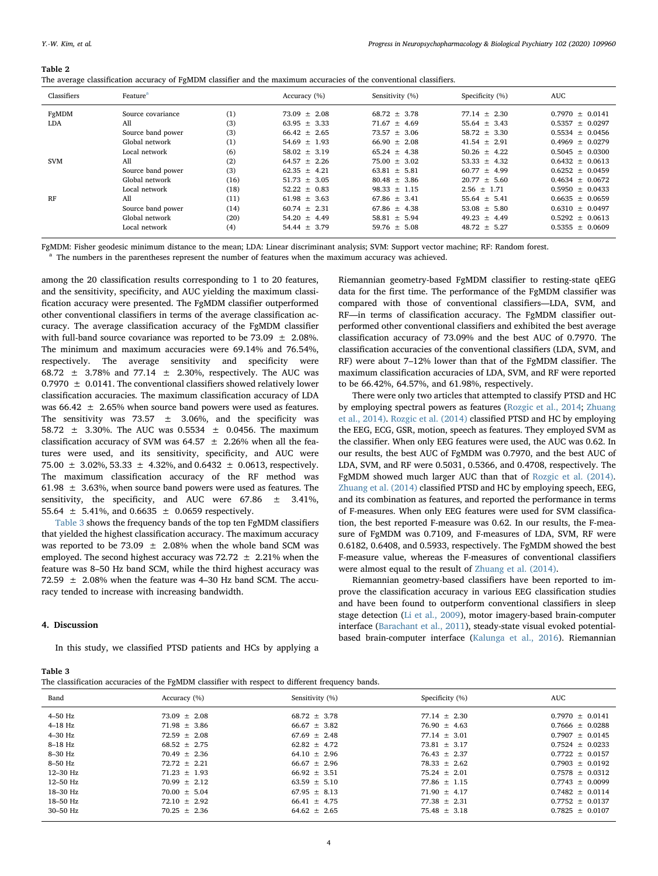#### Y.-W. Kim, et al. *Progress in Neuropsychopharmacology & Biological Psychiatry 102 (2020) 109960*

#### <span id="page-3-0"></span>Table 2

| Classifiers | Feature <sup>a</sup> |      | Accuracy (%)     | Sensitivity (%)  | Specificity (%)  | AUC.                |
|-------------|----------------------|------|------------------|------------------|------------------|---------------------|
| FgMDM       | Source covariance    | (1)  | $73.09 \pm 2.08$ | $68.72 \pm 3.78$ | $77.14 \pm 2.30$ | $0.7970 \pm 0.0141$ |
| LDA         | All                  | (3)  | 63.95 $\pm$ 3.33 | $71.67 \pm 4.69$ | 55.64 $\pm$ 3.43 | $0.5357 \pm 0.0297$ |
|             | Source band power    | (3)  | $66.42 \pm 2.65$ | $73.57 \pm 3.06$ | $58.72 \pm 3.30$ | $0.5534 \pm 0.0456$ |
|             | Global network       | (1)  | $54.69 \pm 1.93$ | $66.90 \pm 2.08$ | $41.54 \pm 2.91$ | $0.4969 \pm 0.0279$ |
|             | Local network        | (6)  | $58.02 + 3.19$   | $65.24 + 4.38$   | $50.26 + 4.22$   | $0.5045 + 0.0300$   |
| <b>SVM</b>  | A11                  | (2)  | $64.57 \pm 2.26$ | $75.00 \pm 3.02$ | $53.33 \pm 4.32$ | $0.6432 \pm 0.0613$ |
|             | Source band power    | (3)  | $62.35 \pm 4.21$ | $63.81 \pm 5.81$ | $60.77 \pm 4.99$ | $0.6252 \pm 0.0459$ |
|             | Global network       | (16) | $51.73 + 3.05$   | $80.48 \pm 3.86$ | $20.77 \pm 5.60$ | $0.4634 + 0.0672$   |
|             | Local network        | (18) | $52.22 + 0.83$   | $98.33 + 1.15$   | $2.56 \pm 1.71$  | $0.5950 + 0.0433$   |
| RF          | A11                  | (11) | $61.98 + 3.63$   | $67.86 + 3.41$   | $55.64 + 5.41$   | $0.6635 + 0.0659$   |
|             | Source band power    | (14) | $60.74 + 2.31$   | $67.86 \pm 4.38$ | $53.08 \pm 5.80$ | $0.6310 \pm 0.0497$ |
|             | Global network       | (20) | $54.20 \pm 4.49$ | $58.81 \pm 5.94$ | $49.23 \pm 4.49$ | $0.5292 \pm 0.0613$ |
|             | Local network        | (4)  | $54.44 \pm 3.79$ | $59.76 + 5.08$   | $48.72 \pm 5.27$ | $0.5355 + 0.0609$   |

FgMDM: Fisher geodesic minimum distance to the mean; LDA: Linear discriminant analysis; SVM: Support vector machine; RF: Random forest.

<span id="page-3-2"></span>The numbers in the parentheses represent the number of features when the maximum accuracy was achieved.

among the 20 classification results corresponding to 1 to 20 features, and the sensitivity, specificity, and AUC yielding the maximum classification accuracy were presented. The FgMDM classifier outperformed other conventional classifiers in terms of the average classification accuracy. The average classification accuracy of the FgMDM classifier with full-band source covariance was reported to be  $73.09 \pm 2.08\%$ . The minimum and maximum accuracies were 69.14% and 76.54%, respectively. The average sensitivity and specificity were 68.72  $\pm$  3.78% and 77.14  $\pm$  2.30%, respectively. The AUC was 0.7970  $\pm$  0.0141. The conventional classifiers showed relatively lower classification accuracies. The maximum classification accuracy of LDA was  $66.42 \pm 2.65\%$  when source band powers were used as features. The sensitivity was 73.57  $\pm$  3.06%, and the specificity was 58.72 ± 3.30%. The AUC was 0.5534 ± 0.0456. The maximum classification accuracy of SVM was 64.57  $\pm$  2.26% when all the features were used, and its sensitivity, specificity, and AUC were 75.00 ± 3.02%, 53.33 ± 4.32%, and 0.6432 ± 0.0613, respectively. The maximum classification accuracy of the RF method was 61.98  $\pm$  3.63%, when source band powers were used as features. The sensitivity, the specificity, and AUC were  $67.86 \pm 3.41\%$ , 55.64  $\pm$  5.41%, and 0.6635  $\pm$  0.0659 respectively.

[Table 3](#page-3-1) shows the frequency bands of the top ten FgMDM classifiers that yielded the highest classification accuracy. The maximum accuracy was reported to be 73.09  $\pm$  2.08% when the whole band SCM was employed. The second highest accuracy was  $72.72 \pm 2.21\%$  when the feature was 8–50 Hz band SCM, while the third highest accuracy was 72.59  $\pm$  2.08% when the feature was 4-30 Hz band SCM. The accuracy tended to increase with increasing bandwidth.

# 4. Discussion

In this study, we classified PTSD patients and HCs by applying a

Riemannian geometry-based FgMDM classifier to resting-state qEEG data for the first time. The performance of the FgMDM classifier was compared with those of conventional classifiers—LDA, SVM, and RF—in terms of classification accuracy. The FgMDM classifier outperformed other conventional classifiers and exhibited the best average classification accuracy of 73.09% and the best AUC of 0.7970. The classification accuracies of the conventional classifiers (LDA, SVM, and RF) were about 7–12% lower than that of the FgMDM classifier. The maximum classification accuracies of LDA, SVM, and RF were reported to be 66.42%, 64.57%, and 61.98%, respectively.

There were only two articles that attempted to classify PTSD and HC by employing spectral powers as features [\(Rozgic et al., 2014](#page-6-20); [Zhuang](#page-7-0) [et al., 2014\)](#page-7-0). [Rozgic et al. \(2014\)](#page-6-20) classified PTSD and HC by employing the EEG, ECG, GSR, motion, speech as features. They employed SVM as the classifier. When only EEG features were used, the AUC was 0.62. In our results, the best AUC of FgMDM was 0.7970, and the best AUC of LDA, SVM, and RF were 0.5031, 0.5366, and 0.4708, respectively. The FgMDM showed much larger AUC than that of [Rozgic et al. \(2014\)](#page-6-20). [Zhuang et al. \(2014\)](#page-7-0) classified PTSD and HC by employing speech, EEG, and its combination as features, and reported the performance in terms of F-measures. When only EEG features were used for SVM classification, the best reported F-measure was 0.62. In our results, the F-measure of FgMDM was 0.7109, and F-measures of LDA, SVM, RF were 0.6182, 0.6408, and 0.5933, respectively. The FgMDM showed the best F-measure value, whereas the F-measures of conventional classifiers were almost equal to the result of [Zhuang et al. \(2014\).](#page-7-0)

Riemannian geometry-based classifiers have been reported to improve the classification accuracy in various EEG classification studies and have been found to outperform conventional classifiers in sleep stage detection [\(Li et al., 2009\)](#page-6-40), motor imagery-based brain-computer interface ([Barachant et al., 2011](#page-5-4)), steady-state visual evoked potentialbased brain-computer interface [\(Kalunga et al., 2016\)](#page-6-41). Riemannian

<span id="page-3-1"></span>

| Table 3                                                                                          |  |
|--------------------------------------------------------------------------------------------------|--|
| The classification accuracies of the FgMDM classifier with respect to different frequency bands. |  |

| Band         | Accuracy (%)     | Sensitivity (%)  | Specificity (%)  | AUC                 |
|--------------|------------------|------------------|------------------|---------------------|
| $4-50$ Hz    | $73.09 \pm 2.08$ | $68.72 \pm 3.78$ | $77.14 \pm 2.30$ | $0.7970 \pm 0.0141$ |
| $4-18$ Hz    | $71.98 \pm 3.86$ | $66.67 \pm 3.82$ | $76.90 \pm 4.63$ | $0.7666 \pm 0.0288$ |
| $4-30$ Hz    | $72.59 \pm 2.08$ | $67.69 \pm 2.48$ | $77.14 + 3.01$   | $0.7907 + 0.0145$   |
| $8-18$ Hz    | $68.52 \pm 2.75$ | $62.82 \pm 4.72$ | $73.81 \pm 3.17$ | $0.7524 \pm 0.0233$ |
| 8-30 Hz      | $70.49 \pm 2.36$ | $64.10 \pm 2.96$ | $76.43 \pm 2.37$ | $0.7722 \pm 0.0157$ |
| 8-50 Hz      | $72.72 \pm 2.21$ | $66.67 \pm 2.96$ | $78.33 \pm 2.62$ | $0.7903 \pm 0.0192$ |
| $12-30$ Hz   | $71.23 + 1.93$   | $66.92 \pm 3.51$ | $75.24 \pm 2.01$ | $0.7578 + 0.0312$   |
| $12 - 50$ Hz | $70.99 \pm 2.12$ | $63.59 \pm 5.10$ | $77.86 \pm 1.15$ | $0.7743 \pm 0.0099$ |
| 18-30 Hz     | $70.00 \pm 5.04$ | $67.95 \pm 8.13$ | $71.90 \pm 4.17$ | $0.7482 + 0.0114$   |
| 18-50 Hz     | $72.10 \pm 2.92$ | $66.41 \pm 4.75$ | $77.38 + 2.31$   | $0.7752 \pm 0.0137$ |
| 30-50 Hz     | $70.25 \pm 2.36$ | $64.62 \pm 2.65$ | $75.48 \pm 3.18$ | $0.7825 \pm 0.0107$ |
|              |                  |                  |                  |                     |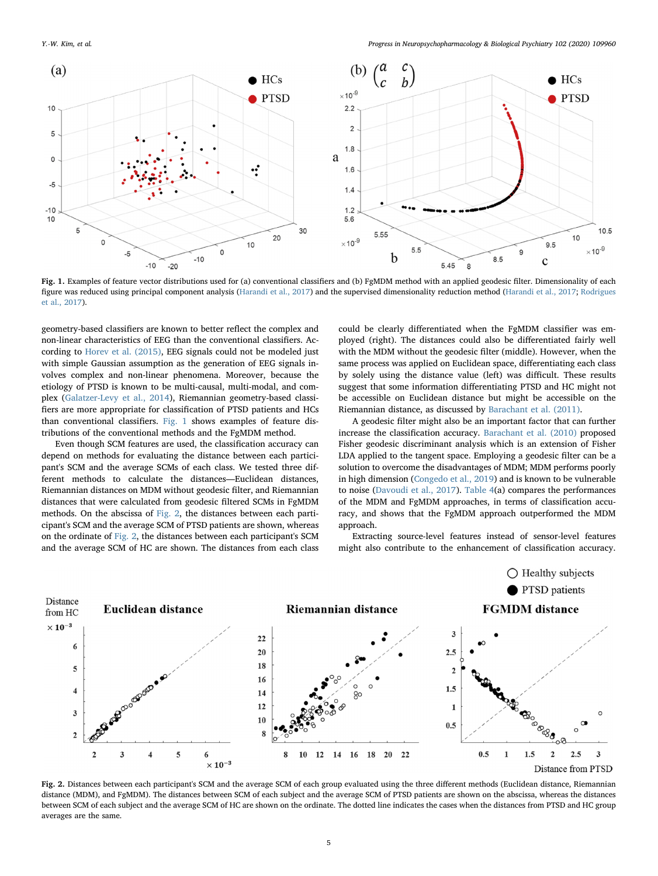<span id="page-4-0"></span>

Fig. 1. Examples of feature vector distributions used for (a) conventional classifiers and (b) FgMDM method with an applied geodesic filter. Dimensionality of each figure was reduced using principal component analysis ([Harandi et al., 2017\)](#page-6-44) and the supervised dimensionality reduction method ([Harandi et al., 2017;](#page-6-44) [Rodrigues](#page-6-45) [et al., 2017](#page-6-45)).

geometry-based classifiers are known to better reflect the complex and non-linear characteristics of EEG than the conventional classifiers. According to [Horev et al. \(2015\),](#page-6-42) EEG signals could not be modeled just with simple Gaussian assumption as the generation of EEG signals involves complex and non-linear phenomena. Moreover, because the etiology of PTSD is known to be multi-causal, multi-modal, and complex ([Galatzer-Levy et al., 2014](#page-6-6)), Riemannian geometry-based classifiers are more appropriate for classification of PTSD patients and HCs than conventional classifiers. [Fig. 1](#page-4-0) shows examples of feature distributions of the conventional methods and the FgMDM method.

Even though SCM features are used, the classification accuracy can depend on methods for evaluating the distance between each participant's SCM and the average SCMs of each class. We tested three different methods to calculate the distances—Euclidean distances, Riemannian distances on MDM without geodesic filter, and Riemannian distances that were calculated from geodesic filtered SCMs in FgMDM methods. On the abscissa of [Fig. 2,](#page-4-1) the distances between each participant's SCM and the average SCM of PTSD patients are shown, whereas on the ordinate of [Fig. 2,](#page-4-1) the distances between each participant's SCM and the average SCM of HC are shown. The distances from each class could be clearly differentiated when the FgMDM classifier was employed (right). The distances could also be differentiated fairly well with the MDM without the geodesic filter (middle). However, when the same process was applied on Euclidean space, differentiating each class by solely using the distance value (left) was difficult. These results suggest that some information differentiating PTSD and HC might not be accessible on Euclidean distance but might be accessible on the Riemannian distance, as discussed by [Barachant et al. \(2011\)](#page-5-4).

A geodesic filter might also be an important factor that can further increase the classification accuracy. [Barachant et al. \(2010\)](#page-5-6) proposed Fisher geodesic discriminant analysis which is an extension of Fisher LDA applied to the tangent space. Employing a geodesic filter can be a solution to overcome the disadvantages of MDM; MDM performs poorly in high dimension ([Congedo et al., 2019](#page-6-43)) and is known to be vulnerable to noise [\(Davoudi et al., 2017](#page-6-28)). [Table 4](#page-5-12)(a) compares the performances of the MDM and FgMDM approaches, in terms of classification accuracy, and shows that the FgMDM approach outperformed the MDM approach.

Extracting source-level features instead of sensor-level features might also contribute to the enhancement of classification accuracy.

<span id="page-4-1"></span>

Fig. 2. Distances between each participant's SCM and the average SCM of each group evaluated using the three different methods (Euclidean distance, Riemannian distance (MDM), and FgMDM). The distances between SCM of each subject and the average SCM of PTSD patients are shown on the abscissa, whereas the distances between SCM of each subject and the average SCM of HC are shown on the ordinate. The dotted line indicates the cases when the distances from PTSD and HC group averages are the same.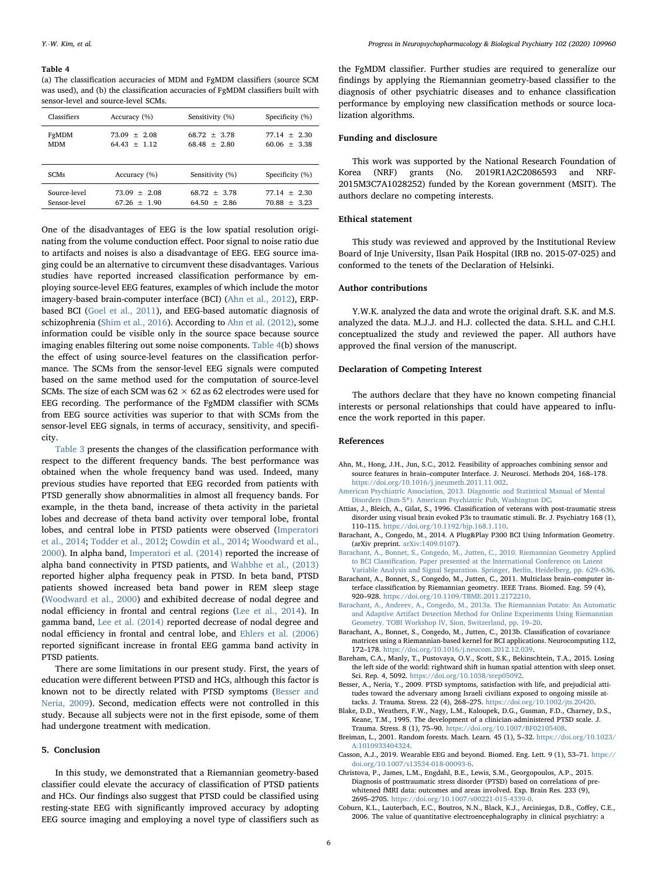#### <span id="page-5-12"></span>Table 4

(a) The classification accuracies of MDM and FgMDM classifiers (source SCM was used), and (b) the classification accuracies of FgMDM classifiers built with sensor-level and source-level SCMs.

| Classifiers  | Accuracy (%)   | Sensitivity (%) | Specificity (%) |
|--------------|----------------|-----------------|-----------------|
| FgMDM        | $73.09 + 2.08$ | $68.72 + 3.78$  | $77.14 + 2.30$  |
| <b>MDM</b>   | $64.43 + 1.12$ | $68.48 + 2.80$  | $60.06 + 3.38$  |
| <b>SCMs</b>  | Accuracy (%)   | Sensitivity (%) | Specificity (%) |
| Source-level | $73.09 + 2.08$ | $68.72 + 3.78$  | $77.14 + 2.30$  |
| Sensor-level | $67.26 + 1.90$ | $64.50 + 2.86$  | $70.88 + 3.23$  |

One of the disadvantages of EEG is the low spatial resolution originating from the volume conduction effect. Poor signal to noise ratio due to artifacts and noises is also a disadvantage of EEG. EEG source imaging could be an alternative to circumvent these disadvantages. Various studies have reported increased classification performance by employing source-level EEG features, examples of which include the motor imagery-based brain-computer interface (BCI) [\(Ahn et al., 2012\)](#page-5-13), ERPbased BCI ([Goel et al., 2011](#page-6-46)), and EEG-based automatic diagnosis of schizophrenia ([Shim et al., 2016](#page-6-37)). According to [Ahn et al. \(2012\)](#page-5-13), some information could be visible only in the source space because source imaging enables filtering out some noise components. [Table 4\(](#page-5-12)b) shows the effect of using source-level features on the classification performance. The SCMs from the sensor-level EEG signals were computed based on the same method used for the computation of source-level SCMs. The size of each SCM was  $62 \times 62$  as 62 electrodes were used for EEG recording. The performance of the FgMDM classifier with SCMs from EEG source activities was superior to that with SCMs from the sensor-level EEG signals, in terms of accuracy, sensitivity, and specificity.

[Table 3](#page-3-1) presents the changes of the classification performance with respect to the different frequency bands. The best performance was obtained when the whole frequency band was used. Indeed, many previous studies have reported that EEG recorded from patients with PTSD generally show abnormalities in almost all frequency bands. For example, in the theta band, increase of theta activity in the parietal lobes and decrease of theta band activity over temporal lobe, frontal lobes, and central lobe in PTSD patients were observed [\(Imperatori](#page-6-13) [et al., 2014;](#page-6-13) [Todder et al., 2012;](#page-6-47) [Cowdin et al., 2014;](#page-6-48) [Woodward et al.,](#page-7-3) [2000\)](#page-7-3). In alpha band, [Imperatori et al. \(2014\)](#page-6-13) reported the increase of alpha band connectivity in PTSD patients, and [Wahbhe et al., \(2013\)](#page-6-15) reported higher alpha frequency peak in PTSD. In beta band, PTSD patients showed increased beta band power in REM sleep stage ([Woodward et al., 2000](#page-7-3)) and exhibited decrease of nodal degree and nodal efficiency in frontal and central regions ([Lee et al., 2014\)](#page-6-49). In gamma band, [Lee et al. \(2014\)](#page-6-49) reported decrease of nodal degree and nodal efficiency in frontal and central lobe, and [Ehlers et al. \(2006\)](#page-6-50) reported significant increase in frontal EEG gamma band activity in PTSD patients.

There are some limitations in our present study. First, the years of education were different between PTSD and HCs, although this factor is known not to be directly related with PTSD symptoms ([Besser and](#page-5-14) [Neria, 2009\)](#page-5-14). Second, medication effects were not controlled in this study. Because all subjects were not in the first episode, some of them had undergone treatment with medication.

# 5. Conclusion

In this study, we demonstrated that a Riemannian geometry-based classifier could elevate the accuracy of classification of PTSD patients and HCs. Our findings also suggest that PTSD could be classified using resting-state EEG with significantly improved accuracy by adopting EEG source imaging and employing a novel type of classifiers such as

the FgMDM classifier. Further studies are required to generalize our findings by applying the Riemannian geometry-based classifier to the diagnosis of other psychiatric diseases and to enhance classification performance by employing new classification methods or source localization algorithms.

# Funding and disclosure

This work was supported by the National Research Foundation of Korea (NRF) grants (No. 2019R1A2C2086593 and NRF-2015M3C7A1028252) funded by the Korean government (MSIT). The authors declare no competing interests.

# Ethical statement

This study was reviewed and approved by the Institutional Review Board of Inje University, Ilsan Paik Hospital (IRB no. 2015-07-025) and conformed to the tenets of the Declaration of Helsinki.

### Author contributions

Y.W.K. analyzed the data and wrote the original draft. S.K. and M.S. analyzed the data. M.J.J. and H.J. collected the data. S.H.L. and C.H.I. conceptualized the study and reviewed the paper. All authors have approved the final version of the manuscript.

# Declaration of Competing Interest

The authors declare that they have no known competing financial interests or personal relationships that could have appeared to influence the work reported in this paper.

# References

- <span id="page-5-13"></span>Ahn, M., Hong, J.H., Jun, S.C., 2012. Feasibility of approaches combining sensor and source features in brain–computer Interface. J. Neurosci. Methods 204, 168–178. <https://doi.org/10.1016/j.jneumeth.2011.11.002>.
- <span id="page-5-7"></span>[American Psychiatric Association, 2013. Diagnostic and Statistical Manual of Mental](http://refhub.elsevier.com/S0278-5846(20)30276-1/rf0010) Disorders (Dsm-5®[\). American Psychiatric Pub, Washington DC](http://refhub.elsevier.com/S0278-5846(20)30276-1/rf0010).
- <span id="page-5-2"></span>Attias, J., Bleich, A., Gilat, S., 1996. Classification of veterans with post-traumatic stress disorder using visual brain evoked P3s to traumatic stimuli. Br. J. Psychiatry 168 (1), 110–115. <https://doi.org/10.1192/bjp.168.1.110>.
- <span id="page-5-10"></span>Barachant, A., Congedo, M., 2014. A Plug&Play P300 BCI Using Information Geometry. (arXiv preprint. [arXiv:1409.0107](https://arxiv.org/abs/1409.0107)).
- <span id="page-5-6"></span>[Barachant, A., Bonnet, S., Congedo, M., Jutten, C., 2010. Riemannian Geometry Applied](http://refhub.elsevier.com/S0278-5846(20)30276-1/rf0025) to BCI Classifi[cation. Paper presented at the International Conference on Latent](http://refhub.elsevier.com/S0278-5846(20)30276-1/rf0025) [Variable Analysis and Signal Separation. Springer, Berlin, Heidelberg, pp. 629](http://refhub.elsevier.com/S0278-5846(20)30276-1/rf0025)–636.
- <span id="page-5-4"></span>Barachant, A., Bonnet, S., Congedo, M., Jutten, C., 2011. Multiclass brain–computer interface classification by Riemannian geometry. IEEE Trans. Biomed. Eng. 59 (4), 920–928. [https://doi.org/10.1109/TBME.2011.2172210.](https://doi.org/10.1109/TBME.2011.2172210)
- <span id="page-5-5"></span>[Barachant, A., Andreev, A., Congedo, M., 2013a. The Riemannian Potato: An Automatic](http://refhub.elsevier.com/S0278-5846(20)30276-1/rf0035) [and Adaptive Artifact Detection Method for Online Experiments Using Riemannian](http://refhub.elsevier.com/S0278-5846(20)30276-1/rf0035) [Geometry. TOBI Workshop lV, Sion, Switzerland, pp. 19](http://refhub.elsevier.com/S0278-5846(20)30276-1/rf0035)–20.
- Barachant, A., Bonnet, S., Congedo, M., Jutten, C., 2013b. Classification of covariance matrices using a Riemannian-based kernel for BCI applications. Neurocomputing 112, 172–178. [https://doi.org/10.1016/j.neucom.2012.12.039.](https://doi.org/10.1016/j.neucom.2012.12.039)
- <span id="page-5-9"></span>Bareham, C.A., Manly, T., Pustovaya, O.V., Scott, S.K., Bekinschtein, T.A., 2015. Losing the left side of the world: rightward shift in human spatial attention with sleep onset. Sci. Rep. 4, 5092. [https://doi.org/10.1038/srep05092.](https://doi.org/10.1038/srep05092)
- <span id="page-5-14"></span>Besser, A., Neria, Y., 2009. PTSD symptoms, satisfaction with life, and prejudicial attitudes toward the adversary among Israeli civilians exposed to ongoing missile attacks. J. Trauma. Stress. 22 (4), 268–275. [https://doi.org/10.1002/jts.20420.](https://doi.org/10.1002/jts.20420)
- <span id="page-5-8"></span>Blake, D.D., Weathers, F.W., Nagy, L.M., Kaloupek, D.G., Gusman, F.D., Charney, D.S., Keane, T.M., 1995. The development of a clinician-administered PTSD scale. J. Trauma. Stress. 8 (1), 75–90. [https://doi.org/10.1007/BF02105408.](https://doi.org/10.1007/BF02105408)
- <span id="page-5-11"></span>Breiman, L., 2001. Random forests. Mach. Learn. 45 (1), 5–32. [https://doi.org/10.1023/](https://doi.org/10.1023/A:1010933404324) [A:1010933404324](https://doi.org/10.1023/A:1010933404324).
- <span id="page-5-3"></span>Casson, A.J., 2019. Wearable EEG and beyond. Biomed. Eng. Lett. 9 (1), 53–71. [https://](https://doi.org/10.1007/s13534-018-00093-6) [doi.org/10.1007/s13534-018-00093-6](https://doi.org/10.1007/s13534-018-00093-6).

<span id="page-5-0"></span>Christova, P., James, L.M., Engdahl, B.E., Lewis, S.M., Georgopoulos, A.P., 2015. Diagnosis of posttraumatic stress disorder (PTSD) based on correlations of prewhitened fMRI data: outcomes and areas involved. Exp. Brain Res. 233 (9), 2695–2705. <https://doi.org/10.1007/s00221-015-4339-0>.

<span id="page-5-1"></span>Coburn, K.L., Lauterbach, E.C., Boutros, N.N., Black, K.J., Arciniegas, D.B., Coffey, C.E., 2006. The value of quantitative electroencephalography in clinical psychiatry: a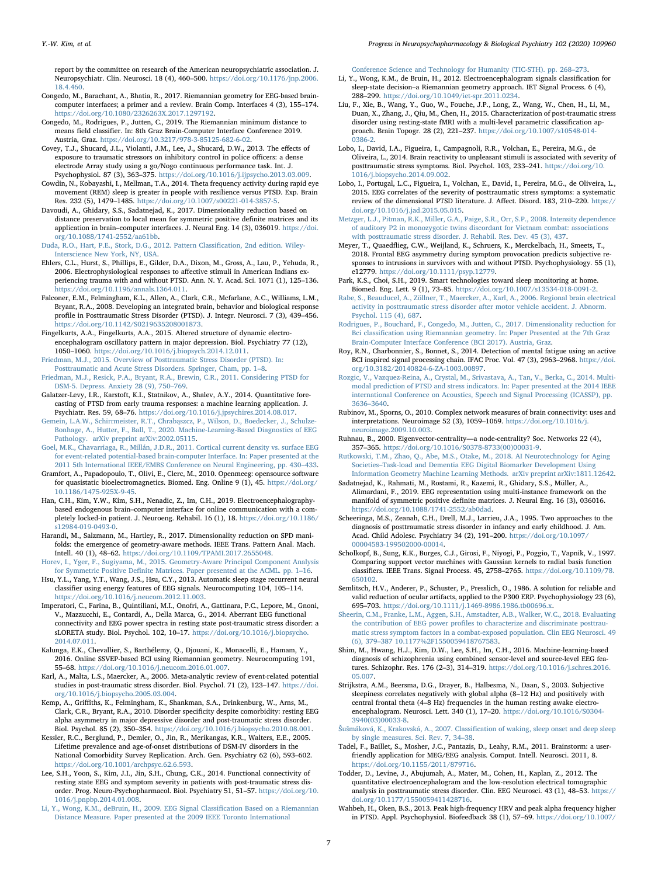report by the committee on research of the American neuropsychiatric association. J. Neuropsychiatr. Clin. Neurosci. 18 (4), 460–500. [https://doi.org/10.1176/jnp.2006.](https://doi.org/10.1176/jnp.2006.18.4.460) [18.4.460.](https://doi.org/10.1176/jnp.2006.18.4.460)

- <span id="page-6-21"></span>Congedo, M., Barachant, A., Bhatia, R., 2017. Riemannian geometry for EEG-based braincomputer interfaces; a primer and a review. Brain Comp. Interfaces 4 (3), 155–174. [https://doi.org/10.1080/2326263X.2017.1297192.](https://doi.org/10.1080/2326263X.2017.1297192)
- <span id="page-6-43"></span>Congedo, M., Rodrigues, P., Jutten, C., 2019. The Riemannian minimum distance to means field classifier. In: 8th Graz Brain-Computer Interface Conference 2019. Austria, Graz. [https://doi.org/10.3217/978-3-85125-682-6-02.](https://doi.org/10.3217/978-3-85125-682-6-02)
- <span id="page-6-9"></span>Covey, T.J., Shucard, J.L., Violanti, J.M., Lee, J., Shucard, D.W., 2013. The effects of exposure to traumatic stressors on inhibitory control in police officers: a dense electrode Array study using a go/Nogo continuous performance task. Int. J. Psychophysiol. 87 (3), 363–375. <https://doi.org/10.1016/j.ijpsycho.2013.03.009>.
- <span id="page-6-48"></span>Cowdin, N., Kobayashi, I., Mellman, T.A., 2014. Theta frequency activity during rapid eye movement (REM) sleep is greater in people with resilience versus PTSD. Exp. Brain Res. 232 (5), 1479–1485. <https://doi.org/10.1007/s00221-014-3857-5>.
- <span id="page-6-28"></span>Davoudi, A., Ghidary, S.S., Sadatnejad, K., 2017. Dimensionality reduction based on distance preservation to local mean for symmetric positive definite matrices and its application in brain–computer interfaces. J. Neural Eng. 14 (3), 036019. [https://doi.](https://doi.org/10.1088/1741-2552/aa61bb) [org/10.1088/1741-2552/aa61bb](https://doi.org/10.1088/1741-2552/aa61bb).
- <span id="page-6-38"></span>[Duda, R.O., Hart, P.E., Stork, D.G., 2012. Pattern Classi](http://refhub.elsevier.com/S0278-5846(20)30276-1/rf0105)fication, 2nd edition. Wiley-[Interscience New York, NY, USA](http://refhub.elsevier.com/S0278-5846(20)30276-1/rf0105).
- <span id="page-6-50"></span>Ehlers, C.L., Hurst, S., Phillips, E., Gilder, D.A., Dixon, M., Gross, A., Lau, P., Yehuda, R., 2006. Electrophysiological responses to affective stimuli in American Indians experiencing trauma with and without PTSD. Ann. N. Y. Acad. Sci. 1071 (1), 125–136. <https://doi.org/10.1196/annals.1364.011>.
- <span id="page-6-18"></span>Falconer, E.M., Felmingham, K.L., Allen, A., Clark, C.R., Mcfarlane, A.C., Williams, L.M., Bryant, R.A., 2008. Developing an integrated brain, behavior and biological response profile in Posttraumatic Stress Disorder (PTSD). J. Integr. Neurosci. 7 (3), 439–456. <https://doi.org/10.1142/S0219635208001873>.
- <span id="page-6-8"></span>Fingelkurts, A.A., Fingelkurts, A.A., 2015. Altered structure of dynamic electroencephalogram oscillatory pattern in major depression. Biol. Psychiatry 77 (12), 1050–1060. [https://doi.org/10.1016/j.biopsych.2014.12.011.](https://doi.org/10.1016/j.biopsych.2014.12.011)
- <span id="page-6-3"></span>[Friedman, M.J., 2015. Overview of Posttraumatic Stress Disorder \(PTSD\). In:](http://refhub.elsevier.com/S0278-5846(20)30276-1/rf0125) [Posttraumatic and Acute Stress Disorders. Springer, Cham, pp. 1](http://refhub.elsevier.com/S0278-5846(20)30276-1/rf0125)–8.
- <span id="page-6-0"></span>[Friedman, M.J., Resick, P.A., Bryant, R.A., Brewin, C.R., 2011. Considering PTSD for](http://refhub.elsevier.com/S0278-5846(20)30276-1/rf0130) [DSM-5. Depress. Anxiety 28 \(9\), 750](http://refhub.elsevier.com/S0278-5846(20)30276-1/rf0130)–769.
- <span id="page-6-6"></span>Galatzer-Levy, I.R., Karstoft, K.I., Statnikov, A., Shalev, A.Y., 2014. Quantitative forecasting of PTSD from early trauma responses: a machine learning application. J. Psychiatr. Res. 59, 68–76. [https://doi.org/10.1016/j.jpsychires.2014.08.017.](https://doi.org/10.1016/j.jpsychires.2014.08.017)
- <span id="page-6-26"></span>Gemein, L.A.W., Schirrmeister, R.T., Chrabą[szcz, P., Wilson, D., Boedecker, J., Schulze-](http://refhub.elsevier.com/S0278-5846(20)30276-1/rf0140)[Bonhage, A., Hutter, F., Ball, T., 2020. Machine-Learning-Based Diagnostics of EEG](http://refhub.elsevier.com/S0278-5846(20)30276-1/rf0140) [Pathology. arXiv preprint arXiv:2002.05115](http://refhub.elsevier.com/S0278-5846(20)30276-1/rf0140).
- <span id="page-6-46"></span>Goel, [M.K., Chavarriaga, R., Millán, J.D.R., 2011. Cortical current density vs. surface EEG](http://refhub.elsevier.com/S0278-5846(20)30276-1/rf0145) [for event-related potential-based brain-computer Interface. In: Paper presented at the](http://refhub.elsevier.com/S0278-5846(20)30276-1/rf0145) [2011 5th International IEEE/EMBS Conference on Neural Engineering, pp. 430](http://refhub.elsevier.com/S0278-5846(20)30276-1/rf0145)–433.
- <span id="page-6-34"></span>Gramfort, A., Papadopoulo, T., Olivi, E., Clerc, M., 2010. Openmeeg: opensource software for quasistatic bioelectromagnetics. Biomed. Eng. Online 9 (1), 45. [https://doi.org/](https://doi.org/10.1186/1475-925X-9-45) [10.1186/1475-925X-9-45](https://doi.org/10.1186/1475-925X-9-45).
- <span id="page-6-22"></span>Han, C.H., Kim, Y.W., Kim, S.H., Nenadic, Z., Im, C.H., 2019. Electroencephalographybased endogenous brain–computer interface for online communication with a completely locked-in patient. J. Neuroeng. Rehabil. 16 (1), 18. [https://doi.org/10.1186/](https://doi.org/10.1186/s12984-019-0493-0) [s12984-019-0493-0.](https://doi.org/10.1186/s12984-019-0493-0)
- <span id="page-6-44"></span>Harandi, M., Salzmann, M., Hartley, R., 2017. Dimensionality reduction on SPD manifolds: the emergence of geometry-aware methods. IEEE Trans. Pattern Anal. Mach. Intell. 40 (1), 48–62. [https://doi.org/10.1109/TPAMI.2017.2655048.](https://doi.org/10.1109/TPAMI.2017.2655048)
- <span id="page-6-42"></span>[Horev, I., Yger, F., Sugiyama, M., 2015. Geometry-Aware Principal Component Analysis](http://refhub.elsevier.com/S0278-5846(20)30276-1/rf0165) for Symmetric Positive Defi[nite Matrices. Paper presented at the ACML. pp. 1](http://refhub.elsevier.com/S0278-5846(20)30276-1/rf0165)–16.
- <span id="page-6-31"></span>Hsu, Y.L., Yang, Y.T., Wang, J.S., Hsu, C.Y., 2013. Automatic sleep stage recurrent neural classifier using energy features of EEG signals. Neurocomputing 104, 105–114. [https://doi.org/10.1016/j.neucom.2012.11.003.](https://doi.org/10.1016/j.neucom.2012.11.003)
- <span id="page-6-13"></span>Imperatori, C., Farina, B., Quintiliani, M.I., Onofri, A., Gattinara, P.C., Lepore, M., Gnoni, V., Mazzucchi, E., Contardi, A., Della Marca, G., 2014. Aberrant EEG functional connectivity and EEG power spectra in resting state post-traumatic stress disorder: a sLORETA study. Biol. Psychol. 102, 10–17. [https://doi.org/10.1016/j.biopsycho.](https://doi.org/10.1016/j.biopsycho.2014.07.011) [2014.07.011](https://doi.org/10.1016/j.biopsycho.2014.07.011).
- <span id="page-6-41"></span>Kalunga, E.K., Chevallier, S., Barthélemy, Q., Djouani, K., Monacelli, E., Hamam, Y., 2016. Online SSVEP-based BCI using Riemannian geometry. Neurocomputing 191, 55–68. <https://doi.org/10.1016/j.neucom.2016.01.007>.
- <span id="page-6-10"></span>Karl, A., Malta, L.S., Maercker, A., 2006. Meta-analytic review of event-related potential studies in post-traumatic stress disorder. Biol. Psychol. 71 (2), 123–147. [https://doi.](https://doi.org/10.1016/j.biopsycho.2005.03.004) [org/10.1016/j.biopsycho.2005.03.004](https://doi.org/10.1016/j.biopsycho.2005.03.004).
- <span id="page-6-16"></span>Kemp, A., Griffiths, K., Felmingham, K., Shankman, S.A., Drinkenburg, W., Arns, M., Clark, C.R., Bryant, R.A., 2010. Disorder specificity despite comorbidity: resting EEG alpha asymmetry in major depressive disorder and post-traumatic stress disorder. Biol. Psychol. 85 (2), 350–354. [https://doi.org/10.1016/j.biopsycho.2010.08.001.](https://doi.org/10.1016/j.biopsycho.2010.08.001)
- <span id="page-6-2"></span>Kessler, R.C., Berglund, P., Demler, O., Jin, R., Merikangas, K.R., Walters, E.E., 2005. Lifetime prevalence and age-of-onset distributions of DSM-IV disorders in the National Comorbidity Survey Replication. Arch. Gen. Psychiatry 62 (6), 593–602. <https://doi.org/10.1001/archpsyc.62.6.593>.
- <span id="page-6-49"></span>Lee, S.H., Yoon, S., Kim, J.I., Jin, S.H., Chung, C.K., 2014. Functional connectivity of resting state EEG and symptom severity in patients with post-traumatic stress disorder. Prog. Neuro-Psychopharmacol. Biol. Psychiatry 51, 51–57. [https://doi.org/10.](https://doi.org/10.1016/j.pnpbp.2014.01.008) [1016/j.pnpbp.2014.01.008](https://doi.org/10.1016/j.pnpbp.2014.01.008).
- <span id="page-6-40"></span>[Li, Y., Wong, K.M., deBruin, H., 2009. EEG Signal Classi](http://refhub.elsevier.com/S0278-5846(20)30276-1/rf0205)fication Based on a Riemannian [Distance Measure. Paper presented at the 2009 IEEE Toronto International](http://refhub.elsevier.com/S0278-5846(20)30276-1/rf0205)

[Conference Science and Technology for Humanity \(TIC-STH\). pp. 268](http://refhub.elsevier.com/S0278-5846(20)30276-1/rf0205)–273.

- <span id="page-6-23"></span>Li, Y., Wong, K.M., de Bruin, H., 2012. Electroencephalogram signals classification for sleep-state decision–a Riemannian geometry approach. IET Signal Process. 6 (4), 288–299. <https://doi.org/10.1049/iet-spr.2011.0234>.
- <span id="page-6-5"></span>Liu, F., Xie, B., Wang, Y., Guo, W., Fouche, J.P., Long, Z., Wang, W., Chen, H., Li, M., Duan, X., Zhang, J., Qiu, M., Chen, H., 2015. Characterization of post-traumatic stress disorder using resting-state fMRI with a multi-level parametric classification approach. Brain Topogr. 28 (2), 221–237. [https://doi.org/10.1007/s10548-014-](https://doi.org/10.1007/s10548-014-0386-2) [0386-2.](https://doi.org/10.1007/s10548-014-0386-2)
- <span id="page-6-11"></span>Lobo, I., David, I.A., Figueira, I., Campagnoli, R.R., Volchan, E., Pereira, M.G., de Oliveira, L., 2014. Brain reactivity to unpleasant stimuli is associated with severity of posttraumatic stress symptoms. Biol. Psychol. 103, 233–241. [https://doi.org/10.](https://doi.org/10.1016/j.biopsycho.2014.09.002) [1016/j.biopsycho.2014.09.002.](https://doi.org/10.1016/j.biopsycho.2014.09.002)
- <span id="page-6-1"></span>Lobo, I., Portugal, L.C., Figueira, I., Volchan, E., David, I., Pereira, M.G., de Oliveira, L., 2015. EEG correlates of the severity of posttraumatic stress symptoms: a systematic review of the dimensional PTSD literature. J. Affect. Disord. 183, 210–220. [https://](https://doi.org/10.1016/j.jad.2015.05.015) [doi.org/10.1016/j.jad.2015.05.015](https://doi.org/10.1016/j.jad.2015.05.015).
- <span id="page-6-12"></span>[Metzger, L.J., Pitman, R.K., Miller, G.A., Paige, S.R., Orr, S.P., 2008. Intensity dependence](http://refhub.elsevier.com/S0278-5846(20)30276-1/rf0230) [of auditory P2 in monozygotic twins discordant for Vietnam combat: associations](http://refhub.elsevier.com/S0278-5846(20)30276-1/rf0230) [with posttraumatic stress disorder. J. Rehabil. Res. Dev. 45 \(3\), 437.](http://refhub.elsevier.com/S0278-5846(20)30276-1/rf0230)
- <span id="page-6-4"></span>Meyer, T., Quaedflieg, C.W., Weijland, K., Schruers, K., Merckelbach, H., Smeets, T., 2018. Frontal EEG asymmetry during symptom provocation predicts subjective responses to intrusions in survivors with and without PTSD. Psychophysiology. 55 (1), e12779. <https://doi.org/10.1111/psyp.12779>.
- <span id="page-6-19"></span>Park, K.S., Choi, S.H., 2019. Smart technologies toward sleep monitoring at home. Biomed. Eng. Lett. 9 (1), 73–85. [https://doi.org/10.1007/s13534-018-0091-2.](https://doi.org/10.1007/s13534-018-0091-2)
- <span id="page-6-17"></span>[Rabe, S., Beauducel, A., Zöllner, T., Maercker, A., Karl, A., 2006. Regional brain electrical](http://refhub.elsevier.com/S0278-5846(20)30276-1/rf0245) [activity in posttraumatic stress disorder after motor vehicle accident. J. Abnorm.](http://refhub.elsevier.com/S0278-5846(20)30276-1/rf0245) [Psychol. 115 \(4\), 687](http://refhub.elsevier.com/S0278-5846(20)30276-1/rf0245).
- <span id="page-6-45"></span>[Rodrigues, P., Bouchard, F., Congedo, M., Jutten, C., 2017. Dimensionality reduction for](http://refhub.elsevier.com/S0278-5846(20)30276-1/rf0250) Bci classifi[cation using Riemannian geometry. In: Paper Presented at the 7th Graz](http://refhub.elsevier.com/S0278-5846(20)30276-1/rf0250) [Brain-Computer Interface Conference \(BCI 2017\). Austria, Graz.](http://refhub.elsevier.com/S0278-5846(20)30276-1/rf0250)
- <span id="page-6-24"></span>Roy, R.N., Charbonnier, S., Bonnet, S., 2014. Detection of mental fatigue using an active BCI inspired signal processing chain. IFAC Proc. Vol. 47 (3), 2963–2968. [https://doi.](https://doi.org/10.3182/20140824-6-ZA-1003.00897) [org/10.3182/20140824-6-ZA-1003.00897.](https://doi.org/10.3182/20140824-6-ZA-1003.00897)
- <span id="page-6-20"></span>[Rozgic, V., Vazquez-Reina, A., Crystal, M., Srivastava, A., Tan, V., Berka, C., 2014. Multi](http://refhub.elsevier.com/S0278-5846(20)30276-1/rf0260)[modal prediction of PTSD and stress indicators. In: Paper presented at the 2014 IEEE](http://refhub.elsevier.com/S0278-5846(20)30276-1/rf0260) [international Conference on Acoustics, Speech and Signal Processing \(ICASSP\), pp.](http://refhub.elsevier.com/S0278-5846(20)30276-1/rf0260) 3636–[3640](http://refhub.elsevier.com/S0278-5846(20)30276-1/rf0260).
- <span id="page-6-35"></span>Rubinov, M., Sporns, O., 2010. Complex network measures of brain connectivity: uses and interpretations. Neuroimage 52 (3), 1059–1069. [https://doi.org/10.1016/j.](https://doi.org/10.1016/j.neuroimage.2009.10.003) [neuroimage.2009.10.003.](https://doi.org/10.1016/j.neuroimage.2009.10.003)
- <span id="page-6-36"></span>Ruhnau, B., 2000. Eigenvector-centrality—a node-centrality? Soc. Networks 22 (4), 357–365. [https://doi.org/10.1016/S0378-8733\(00\)00031-9.](https://doi.org/10.1016/S0378-8733(00)00031-9)
- <span id="page-6-25"></span>[Rutkowski, T.M., Zhao, Q., Abe, M.S., Otake, M., 2018. AI Neurotechnology for Aging](http://refhub.elsevier.com/S0278-5846(20)30276-1/rf0275) Societies–[Task-load and Dementia EEG Digital Biomarker Development Using](http://refhub.elsevier.com/S0278-5846(20)30276-1/rf0275) [Information Geometry Machine Learning Methods. arXiv preprint arXiv:1811.12642.](http://refhub.elsevier.com/S0278-5846(20)30276-1/rf0275)
- <span id="page-6-27"></span>Sadatnejad, K., Rahmati, M., Rostami, R., Kazemi, R., Ghidary, S.S., Müller, A., Alimardani, F., 2019. EEG representation using multi-instance framework on the manifold of symmetric positive definite matrices. J. Neural Eng. 16 (3), 036016. <https://doi.org/10.1088/1741-2552/ab0dad>.
- <span id="page-6-7"></span>Scheeringa, M.S., Zeanah, C.H., Drell, M.J., Larrieu, J.A., 1995. Two approaches to the diagnosis of posttraumatic stress disorder in infancy and early childhood. J. Am. Acad. Child Adolesc. Psychiatry 34 (2), 191–200. [https://doi.org/10.1097/](https://doi.org/10.1097/00004583-199502000-00014) [00004583-199502000-00014.](https://doi.org/10.1097/00004583-199502000-00014)
- <span id="page-6-39"></span>Scholkopf, B., Sung, K.K., Burges, C.J., Girosi, F., Niyogi, P., Poggio, T., Vapnik, V., 1997. Comparing support vector machines with Gaussian kernels to radial basis function classifiers. IEEE Trans. Signal Process. 45, 2758–2765. [https://doi.org/10.1109/78.](https://doi.org/10.1109/78.650102) [650102](https://doi.org/10.1109/78.650102).
- <span id="page-6-29"></span>Semlitsch, H.V., Anderer, P., Schuster, P., Presslich, O., 1986. A solution for reliable and valid reduction of ocular artifacts, applied to the P300 ERP. Psychophysiology 23 (6), 695–703. [https://doi.org/10.1111/j.1469-8986.1986.tb00696.x.](https://doi.org/10.1111/j.1469-8986.1986.tb00696.x)
- <span id="page-6-14"></span>[Sheerin, C.M., Franke, L.M., Aggen, S.H., Amstadter, A.B., Walker, W.C., 2018. Evaluating](http://refhub.elsevier.com/S0278-5846(20)30276-1/rf0300) the contribution of EEG power profi[les to characterize and discriminate posttrau](http://refhub.elsevier.com/S0278-5846(20)30276-1/rf0300)[matic stress symptom factors in a combat-exposed population. Clin EEG Neurosci. 49](http://refhub.elsevier.com/S0278-5846(20)30276-1/rf0300) (6), 379–[387 10.1177%2F1550059418767583.](http://refhub.elsevier.com/S0278-5846(20)30276-1/rf0300)
- <span id="page-6-37"></span>Shim, M., Hwang, H.J., Kim, D.W., Lee, S.H., Im, C.H., 2016. Machine-learning-based diagnosis of schizophrenia using combined sensor-level and source-level EEG features. Schizophr. Res. 176 (2–3), 314–319. [https://doi.org/10.1016/j.schres.2016.](https://doi.org/10.1016/j.schres.2016.05.007) [05.007](https://doi.org/10.1016/j.schres.2016.05.007).
- <span id="page-6-32"></span>Strijkstra, A.M., Beersma, D.G., Drayer, B., Halbesma, N., Daan, S., 2003. Subjective sleepiness correlates negatively with global alpha (8–12 Hz) and positively with central frontal theta (4–8 Hz) frequencies in the human resting awake electroencephalogram. Neurosci. Lett. 340 (1), 17–20. [https://doi.org/10.1016/S0304-](https://doi.org/10.1016/S0304-3940(03)00033-8) [3940\(03\)00033-8](https://doi.org/10.1016/S0304-3940(03)00033-8).
- <span id="page-6-30"></span>Šušmáková, K., Krakovská, A., 2007. Classifi[cation of waking, sleep onset and deep sleep](http://refhub.elsevier.com/S0278-5846(20)30276-1/rf0315) [by single measures. Sci. Rev. 7, 34](http://refhub.elsevier.com/S0278-5846(20)30276-1/rf0315)–38.
- <span id="page-6-33"></span>Tadel, F., Baillet, S., Mosher, J.C., Pantazis, D., Leahy, R.M., 2011. Brainstorm: a userfriendly application for MEG/EEG analysis. Comput. Intell. Neurosci. 2011, 8. <https://doi.org/10.1155/2011/879716>.
- <span id="page-6-47"></span>Todder, D., Levine, J., Abujumah, A., Mater, M., Cohen, H., Kaplan, Z., 2012. The quantitative electroencephalogram and the low-resolution electrical tomographic analysis in posttraumatic stress disorder. Clin. EEG Neurosci. 43 (1), 48–53. [https://](https://doi.org/10.1177/1550059411428716) [doi.org/10.1177/1550059411428716.](https://doi.org/10.1177/1550059411428716)
- <span id="page-6-15"></span>Wahbeh, H., Oken, B.S., 2013. Peak high-frequency HRV and peak alpha frequency higher in PTSD. Appl. Psychophysiol. Biofeedback 38 (1), 57–69. [https://doi.org/10.1007/](https://doi.org/10.1007/s10484-012-9208-z)